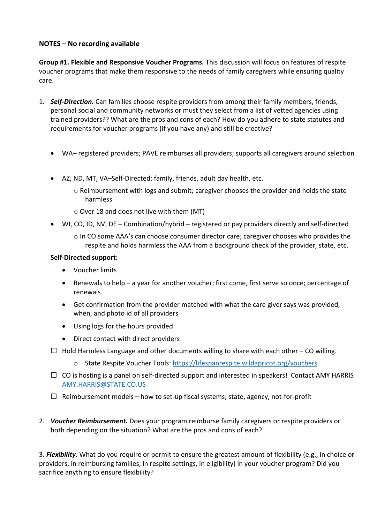## **NOTES – No recording available**

**Group #1. Flexible and Responsive Voucher Programs.** This discussion will focus on features of respite voucher programs that make them responsive to the needs of family caregivers while ensuring quality care.

- 1. *Self-Direction.* Can families choose respite providers from among their family members, friends, personal social and community networks or must they select from a list of vetted agencies using trained providers?? What are the pros and cons of each? How do you adhere to state statutes and requirements for voucher programs (if you have any) and still be creative?
	- WA– registered providers; PAVE reimburses all providers; supports all caregivers around selection
	- AZ, ND, MT, VA–Self-Directed: family, friends, adult day health, etc.
		- o Reimbursement with logs and submit; caregiver chooses the provider and holds the state harmless
		- o Over 18 and does not live with them (MT)
	- WI, CO, ID, NV, DE Combination/hybrid registered or pay providers directly and self-directed
		- $\circ$  In CO some AAA's can choose consumer director care; caregiver chooses who provides the respite and holds harmless the AAA from a background check of the provider, state, etc.

## **Self-Directed support:**

- Voucher limits
- Renewals to help a year for another voucher; first come, first serve so once; percentage of renewals
- Get confirmation from the provider matched with what the care giver says was provided, when, and photo id of all providers
- Using logs for the hours provided
- Direct contact with direct providers
- $\Box$  Hold Harmless Language and other documents willing to share with each other CO willing.
	- o State Respite Voucher Tools[: https://lifespanrespite.wildapricot.org/vouchers](https://lifespanrespite.wildapricot.org/vouchers)
- $\Box$  CO is hosting is a panel on self-directed support and interested in speakers! Contact AMY HARRIS [AMY.HARRIS@STATE.CO.US](mailto:amy.harris@state.co.us)
- $\Box$  Reimbursement models how to set-up fiscal systems; state, agency, not-for-profit
- 2. *Voucher Reimbursement.* Does your program reimburse family caregivers or respite providers or both depending on the situation? What are the pros and cons of each?

3. *Flexibility.* What do you require or permit to ensure the greatest amount of flexibility (e.g., in choice or providers, in reimbursing families, in respite settings, in eligibility) in your voucher program? Did you sacrifice anything to ensure flexibility?